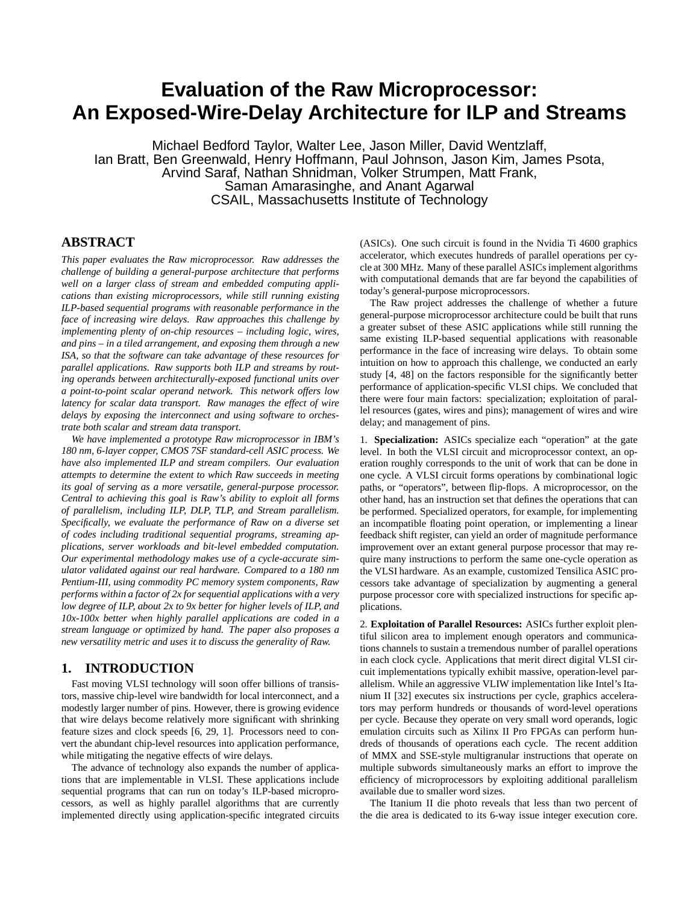# **Evaluation of the Raw Microprocessor: An Exposed-Wire-Delay Architecture for ILP and Streams**

Michael Bedford Taylor, Walter Lee, Jason Miller, David Wentzlaff, Ian Bratt, Ben Greenwald, Henry Hoffmann, Paul Johnson, Jason Kim, James Psota, Arvind Saraf, Nathan Shnidman, Volker Strumpen, Matt Frank, Saman Amarasinghe, and Anant Agarwal CSAIL, Massachusetts Institute of Technology

# **ABSTRACT**

*This paper evaluates the Raw microprocessor. Raw addresses the challenge of building a general-purpose architecture that performs well on a larger class of stream and embedded computing applications than existing microprocessors, while still running existing ILP-based sequential programs with reasonable performance in the face of increasing wire delays. Raw approaches this challenge by implementing plenty of on-chip resources – including logic, wires, and pins – in a tiled arrangement, and exposing them through a new ISA, so that the software can take advantage of these resources for parallel applications. Raw supports both ILP and streams by routing operands between architecturally-exposed functional units over a point-to-point scalar operand network. This network offers low latency for scalar data transport. Raw manages the effect of wire delays by exposing the interconnect and using software to orchestrate both scalar and stream data transport.*

*We have implemented a prototype Raw microprocessor in IBM's 180 nm, 6-layer copper, CMOS 7SF standard-cell ASIC process. We have also implemented ILP and stream compilers. Our evaluation attempts to determine the extent to which Raw succeeds in meeting its goal of serving as a more versatile, general-purpose processor. Central to achieving this goal is Raw's ability to exploit all forms of parallelism, including ILP, DLP, TLP, and Stream parallelism. Specifically, we evaluate the performance of Raw on a diverse set of codes including traditional sequential programs, streaming applications, server workloads and bit-level embedded computation. Our experimental methodology makes use of a cycle-accurate simulator validated against our real hardware. Compared to a 180 nm Pentium-III, using commodity PC memory system components, Raw performs within a factor of 2x for sequential applications with a very low degree of ILP, about 2x to 9x better for higher levels of ILP, and 10x-100x better when highly parallel applications are coded in a stream language or optimized by hand. The paper also proposes a new versatility metric and uses it to discuss the generality of Raw.*

# **1. INTRODUCTION**

Fast moving VLSI technology will soon offer billions of transistors, massive chip-level wire bandwidth for local interconnect, and a modestly larger number of pins. However, there is growing evidence that wire delays become relatively more significant with shrinking feature sizes and clock speeds [6, 29, 1]. Processors need to convert the abundant chip-level resources into application performance, while mitigating the negative effects of wire delays.

The advance of technology also expands the number of applications that are implementable in VLSI. These applications include sequential programs that can run on today's ILP-based microprocessors, as well as highly parallel algorithms that are currently implemented directly using application-specific integrated circuits (ASICs). One such circuit is found in the Nvidia Ti 4600 graphics accelerator, which executes hundreds of parallel operations per cycle at 300 MHz. Many of these parallel ASICsimplement algorithms with computational demands that are far beyond the capabilities of today's general-purpose microprocessors.

The Raw project addresses the challenge of whether a future general-purpose microprocessor architecture could be built that runs a greater subset of these ASIC applications while still running the same existing ILP-based sequential applications with reasonable performance in the face of increasing wire delays. To obtain some intuition on how to approach this challenge, we conducted an early study [4, 48] on the factors responsible for the significantly better performance of application-specific VLSI chips. We concluded that there were four main factors: specialization; exploitation of parallel resources (gates, wires and pins); management of wires and wire delay; and management of pins.

1. **Specialization:** ASICs specialize each "operation" at the gate level. In both the VLSI circuit and microprocessor context, an operation roughly corresponds to the unit of work that can be done in one cycle. A VLSI circuit forms operations by combinational logic paths, or "operators", between flip-flops. A microprocessor, on the other hand, has an instruction set that defines the operations that can be performed. Specialized operators, for example, for implementing an incompatible floating point operation, or implementing a linear feedback shift register, can yield an order of magnitude performance improvement over an extant general purpose processor that may require many instructions to perform the same one-cycle operation as the VLSI hardware. As an example, customized Tensilica ASIC processors take advantage of specialization by augmenting a general purpose processor core with specialized instructions for specific applications.

2. **Exploitation of Parallel Resources:** ASICs further exploit plentiful silicon area to implement enough operators and communications channels to sustain a tremendous number of parallel operations in each clock cycle. Applications that merit direct digital VLSI circuit implementations typically exhibit massive, operation-level parallelism. While an aggressive VLIW implementation like Intel's Itanium II [32] executes six instructions per cycle, graphics accelerators may perform hundreds or thousands of word-level operations per cycle. Because they operate on very small word operands, logic emulation circuits such as Xilinx II Pro FPGAs can perform hundreds of thousands of operations each cycle. The recent addition of MMX and SSE-style multigranular instructions that operate on multiple subwords simultaneously marks an effort to improve the efficiency of microprocessors by exploiting additional parallelism available due to smaller word sizes.

The Itanium II die photo reveals that less than two percent of the die area is dedicated to its 6-way issue integer execution core.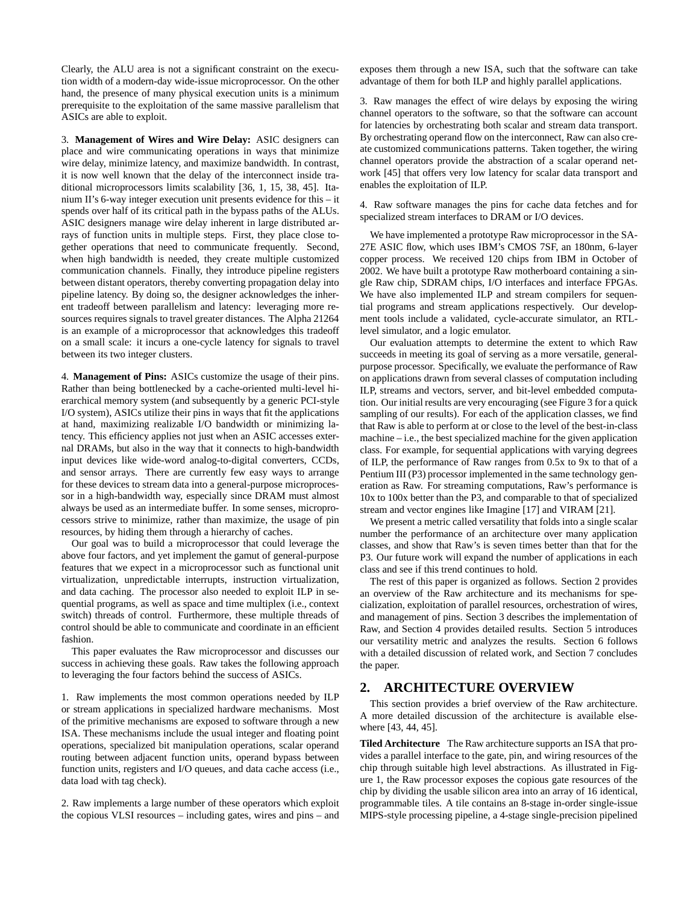Clearly, the ALU area is not a significant constraint on the execution width of a modern-day wide-issue microprocessor. On the other hand, the presence of many physical execution units is a minimum prerequisite to the exploitation of the same massive parallelism that ASICs are able to exploit.

3. **Management of Wires and Wire Delay:** ASIC designers can place and wire communicating operations in ways that minimize wire delay, minimize latency, and maximize bandwidth. In contrast, it is now well known that the delay of the interconnect inside traditional microprocessors limits scalability [36, 1, 15, 38, 45]. Itanium II's 6-way integer execution unit presents evidence for this – it spends over half of its critical path in the bypass paths of the ALUs. ASIC designers manage wire delay inherent in large distributed arrays of function units in multiple steps. First, they place close together operations that need to communicate frequently. Second, when high bandwidth is needed, they create multiple customized communication channels. Finally, they introduce pipeline registers between distant operators, thereby converting propagation delay into pipeline latency. By doing so, the designer acknowledges the inherent tradeoff between parallelism and latency: leveraging more resources requires signals to travel greater distances. The Alpha 21264 is an example of a microprocessor that acknowledges this tradeoff on a small scale: it incurs a one-cycle latency for signals to travel between its two integer clusters.

4. **Management of Pins:** ASICs customize the usage of their pins. Rather than being bottlenecked by a cache-oriented multi-level hierarchical memory system (and subsequently by a generic PCI-style I/O system), ASICs utilize their pins in ways that fit the applications at hand, maximizing realizable I/O bandwidth or minimizing latency. This efficiency applies not just when an ASIC accesses external DRAMs, but also in the way that it connects to high-bandwidth input devices like wide-word analog-to-digital converters, CCDs, and sensor arrays. There are currently few easy ways to arrange for these devices to stream data into a general-purpose microprocessor in a high-bandwidth way, especially since DRAM must almost always be used as an intermediate buffer. In some senses, microprocessors strive to minimize, rather than maximize, the usage of pin resources, by hiding them through a hierarchy of caches.

Our goal was to build a microprocessor that could leverage the above four factors, and yet implement the gamut of general-purpose features that we expect in a microprocessor such as functional unit virtualization, unpredictable interrupts, instruction virtualization, and data caching. The processor also needed to exploit ILP in sequential programs, as well as space and time multiplex (i.e., context switch) threads of control. Furthermore, these multiple threads of control should be able to communicate and coordinate in an efficient fashion.

This paper evaluates the Raw microprocessor and discusses our success in achieving these goals. Raw takes the following approach to leveraging the four factors behind the success of ASICs.

1. Raw implements the most common operations needed by ILP or stream applications in specialized hardware mechanisms. Most of the primitive mechanisms are exposed to software through a new ISA. These mechanisms include the usual integer and floating point operations, specialized bit manipulation operations, scalar operand routing between adjacent function units, operand bypass between function units, registers and I/O queues, and data cache access (i.e., data load with tag check).

2. Raw implements a large number of these operators which exploit the copious VLSI resources – including gates, wires and pins – and exposes them through a new ISA, such that the software can take advantage of them for both ILP and highly parallel applications.

3. Raw manages the effect of wire delays by exposing the wiring channel operators to the software, so that the software can account for latencies by orchestrating both scalar and stream data transport. By orchestrating operand flow on the interconnect, Raw can also create customized communications patterns. Taken together, the wiring channel operators provide the abstraction of a scalar operand network [45] that offers very low latency for scalar data transport and enables the exploitation of ILP.

4. Raw software manages the pins for cache data fetches and for specialized stream interfaces to DRAM or I/O devices.

We have implemented a prototype Raw microprocessor in the SA-27E ASIC flow, which uses IBM's CMOS 7SF, an 180nm, 6-layer copper process. We received 120 chips from IBM in October of 2002. We have built a prototype Raw motherboard containing a single Raw chip, SDRAM chips, I/O interfaces and interface FPGAs. We have also implemented ILP and stream compilers for sequential programs and stream applications respectively. Our development tools include a validated, cycle-accurate simulator, an RTLlevel simulator, and a logic emulator.

Our evaluation attempts to determine the extent to which Raw succeeds in meeting its goal of serving as a more versatile, generalpurpose processor. Specifically, we evaluate the performance of Raw on applications drawn from several classes of computation including ILP, streams and vectors, server, and bit-level embedded computation. Our initial results are very encouraging (see Figure 3 for a quick sampling of our results). For each of the application classes, we find that Raw is able to perform at or close to the level of the best-in-class machine – i.e., the best specialized machine for the given application class. For example, for sequential applications with varying degrees of ILP, the performance of Raw ranges from 0.5x to 9x to that of a Pentium III (P3) processor implemented in the same technology generation as Raw. For streaming computations, Raw's performance is 10x to 100x better than the P3, and comparable to that of specialized stream and vector engines like Imagine [17] and VIRAM [21].

We present a metric called versatility that folds into a single scalar number the performance of an architecture over many application classes, and show that Raw's is seven times better than that for the P3. Our future work will expand the number of applications in each class and see if this trend continues to hold.

The rest of this paper is organized as follows. Section 2 provides an overview of the Raw architecture and its mechanisms for specialization, exploitation of parallel resources, orchestration of wires, and management of pins. Section 3 describes the implementation of Raw, and Section 4 provides detailed results. Section 5 introduces our versatility metric and analyzes the results. Section 6 follows with a detailed discussion of related work, and Section 7 concludes the paper.

# **2. ARCHITECTURE OVERVIEW**

This section provides a brief overview of the Raw architecture. A more detailed discussion of the architecture is available elsewhere [43, 44, 45].

**Tiled Architecture** The Raw architecture supports an ISA that provides a parallel interface to the gate, pin, and wiring resources of the chip through suitable high level abstractions. As illustrated in Figure 1, the Raw processor exposes the copious gate resources of the chip by dividing the usable silicon area into an array of 16 identical, programmable tiles. A tile contains an 8-stage in-order single-issue MIPS-style processing pipeline, a 4-stage single-precision pipelined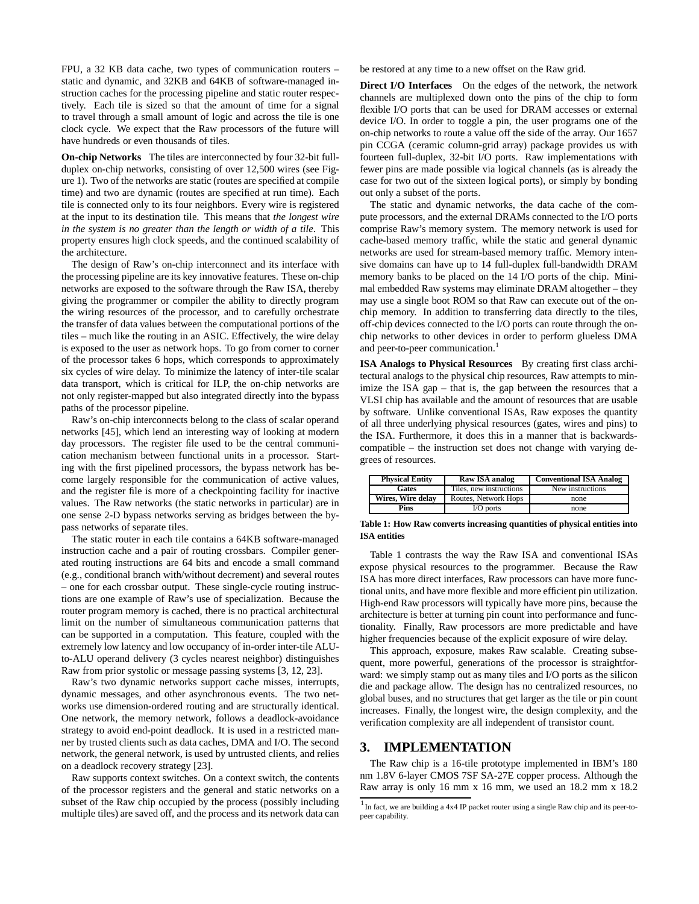FPU, a 32 KB data cache, two types of communication routers – static and dynamic, and 32KB and 64KB of software-managed instruction caches for the processing pipeline and static router respectively. Each tile is sized so that the amount of time for a signal to travel through a small amount of logic and across the tile is one clock cycle. We expect that the Raw processors of the future will have hundreds or even thousands of tiles.

**On-chip Networks** The tiles are interconnected by four 32-bit fullduplex on-chip networks, consisting of over 12,500 wires (see Figure 1). Two of the networks are static (routes are specified at compile time) and two are dynamic (routes are specified at run time). Each tile is connected only to its four neighbors. Every wire is registered at the input to its destination tile. This means that *the longest wire in the system is no greater than the length or width of a tile*. This property ensures high clock speeds, and the continued scalability of the architecture.

The design of Raw's on-chip interconnect and its interface with the processing pipeline are its key innovative features. These on-chip networks are exposed to the software through the Raw ISA, thereby giving the programmer or compiler the ability to directly program the wiring resources of the processor, and to carefully orchestrate the transfer of data values between the computational portions of the tiles – much like the routing in an ASIC. Effectively, the wire delay is exposed to the user as network hops. To go from corner to corner of the processor takes 6 hops, which corresponds to approximately six cycles of wire delay. To minimize the latency of inter-tile scalar data transport, which is critical for ILP, the on-chip networks are not only register-mapped but also integrated directly into the bypass paths of the processor pipeline.

Raw's on-chip interconnects belong to the class of scalar operand networks [45], which lend an interesting way of looking at modern day processors. The register file used to be the central communication mechanism between functional units in a processor. Starting with the first pipelined processors, the bypass network has become largely responsible for the communication of active values, and the register file is more of a checkpointing facility for inactive values. The Raw networks (the static networks in particular) are in one sense 2-D bypass networks serving as bridges between the bypass networks of separate tiles.

The static router in each tile contains a 64KB software-managed instruction cache and a pair of routing crossbars. Compiler generated routing instructions are 64 bits and encode a small command (e.g., conditional branch with/without decrement) and several routes – one for each crossbar output. These single-cycle routing instructions are one example of Raw's use of specialization. Because the router program memory is cached, there is no practical architectural limit on the number of simultaneous communication patterns that can be supported in a computation. This feature, coupled with the extremely low latency and low occupancy of in-order inter-tile ALUto-ALU operand delivery (3 cycles nearest neighbor) distinguishes Raw from prior systolic or message passing systems [3, 12, 23].

Raw's two dynamic networks support cache misses, interrupts, dynamic messages, and other asynchronous events. The two networks use dimension-ordered routing and are structurally identical. One network, the memory network, follows a deadlock-avoidance strategy to avoid end-point deadlock. It is used in a restricted manner by trusted clients such as data caches, DMA and I/O. The second network, the general network, is used by untrusted clients, and relies on a deadlock recovery strategy [23].

Raw supports context switches. On a context switch, the contents of the processor registers and the general and static networks on a subset of the Raw chip occupied by the process (possibly including multiple tiles) are saved off, and the process and its network data can be restored at any time to a new offset on the Raw grid.

**Direct I/O Interfaces** On the edges of the network, the network channels are multiplexed down onto the pins of the chip to form flexible I/O ports that can be used for DRAM accesses or external device I/O. In order to toggle a pin, the user programs one of the on-chip networks to route a value off the side of the array. Our 1657 pin CCGA (ceramic column-grid array) package provides us with fourteen full-duplex, 32-bit I/O ports. Raw implementations with fewer pins are made possible via logical channels (as is already the case for two out of the sixteen logical ports), or simply by bonding out only a subset of the ports.

The static and dynamic networks, the data cache of the compute processors, and the external DRAMs connected to the I/O ports comprise Raw's memory system. The memory network is used for cache-based memory traffic, while the static and general dynamic networks are used for stream-based memory traffic. Memory intensive domains can have up to 14 full-duplex full-bandwidth DRAM memory banks to be placed on the 14 I/O ports of the chip. Minimal embedded Raw systems may eliminate DRAM altogether – they may use a single boot ROM so that Raw can execute out of the onchip memory. In addition to transferring data directly to the tiles, off-chip devices connected to the I/O ports can route through the onchip networks to other devices in order to perform glueless DMA and peer-to-peer communication.<sup>1</sup>

**ISA Analogs to Physical Resources** By creating first class architectural analogs to the physical chip resources, Raw attempts to minimize the ISA gap – that is, the gap between the resources that a VLSI chip has available and the amount of resources that are usable by software. Unlike conventional ISAs, Raw exposes the quantity of all three underlying physical resources (gates, wires and pins) to the ISA. Furthermore, it does this in a manner that is backwardscompatible – the instruction set does not change with varying degrees of resources.

| <b>Physical Entity</b> | Raw ISA analog          | <b>Conventional ISA Analog</b> |
|------------------------|-------------------------|--------------------------------|
| Gates                  | Tiles, new instructions | New instructions               |
| Wires. Wire delav      | Routes, Network Hops    | none                           |
| Pins                   | I/O ports               | none                           |

**Table 1: How Raw converts increasing quantities of physical entities into ISA entities**

Table 1 contrasts the way the Raw ISA and conventional ISAs expose physical resources to the programmer. Because the Raw ISA has more direct interfaces, Raw processors can have more functional units, and have more flexible and more efficient pin utilization. High-end Raw processors will typically have more pins, because the architecture is better at turning pin count into performance and functionality. Finally, Raw processors are more predictable and have higher frequencies because of the explicit exposure of wire delay.

This approach, exposure, makes Raw scalable. Creating subsequent, more powerful, generations of the processor is straightforward: we simply stamp out as many tiles and I/O ports as the silicon die and package allow. The design has no centralized resources, no global buses, and no structures that get larger as the tile or pin count increases. Finally, the longest wire, the design complexity, and the verification complexity are all independent of transistor count.

### **3. IMPLEMENTATION**

The Raw chip is a 16-tile prototype implemented in IBM's 180 nm 1.8V 6-layer CMOS 7SF SA-27E copper process. Although the Raw array is only 16 mm x 16 mm, we used an 18.2 mm x 18.2

<sup>&</sup>lt;sup>1</sup> In fact, we are building a 4x4 IP packet router using a single Raw chip and its peer-topeer capability.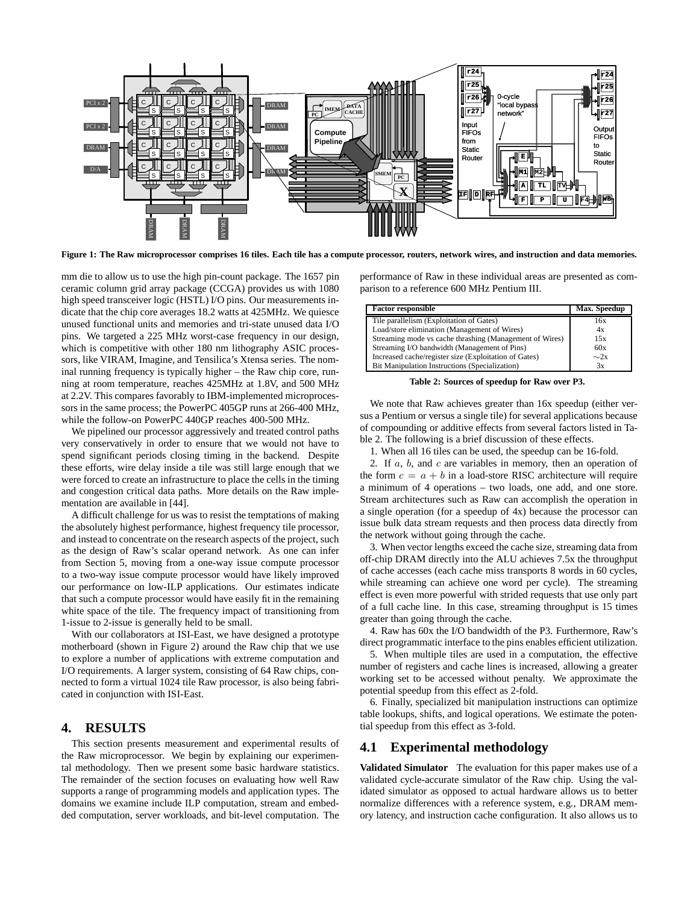

Figure 1: The Raw microprocessor comprises 16 tiles. Each tile has a compute processor, routers, network wires, and instruction and data memories.

mm die to allow us to use the high pin-count package. The 1657 pin ceramic column grid array package (CCGA) provides us with 1080 high speed transceiver logic (HSTL) I/O pins. Our measurements indicate that the chip core averages 18.2 watts at 425MHz. We quiesce unused functional units and memories and tri-state unused data I/O pins. We targeted a 225 MHz worst-case frequency in our design, which is competitive with other 180 nm lithography ASIC processors, like VIRAM, Imagine, and Tensilica's Xtensa series. The nominal running frequency is typically higher – the Raw chip core, running at room temperature, reaches 425MHz at 1.8V, and 500 MHz at 2.2V. This compares favorably to IBM-implemented microprocessors in the same process; the PowerPC 405GP runs at 266-400 MHz, while the follow-on PowerPC 440GP reaches 400-500 MHz.

We pipelined our processor aggressively and treated control paths very conservatively in order to ensure that we would not have to spend significant periods closing timing in the backend. Despite these efforts, wire delay inside a tile was still large enough that we were forced to create an infrastructure to place the cells in the timing and congestion critical data paths. More details on the Raw implementation are available in [44].

A difficult challenge for us was to resist the temptations of making the absolutely highest performance, highest frequency tile processor, and instead to concentrate on the research aspects of the project, such as the design of Raw's scalar operand network. As one can infer from Section 5, moving from a one-way issue compute processor to a two-way issue compute processor would have likely improved our performance on low-ILP applications. Our estimates indicate that such a compute processor would have easily fit in the remaining white space of the tile. The frequency impact of transitioning from 1-issue to 2-issue is generally held to be small.

With our collaborators at ISI-East, we have designed a prototype motherboard (shown in Figure 2) around the Raw chip that we use to explore a number of applications with extreme computation and I/O requirements. A larger system, consisting of 64 Raw chips, connected to form a virtual 1024 tile Raw processor, is also being fabricated in conjunction with ISI-East.

#### **4. RESULTS**

This section presents measurement and experimental results of the Raw microprocessor. We begin by explaining our experimental methodology. Then we present some basic hardware statistics. The remainder of the section focuses on evaluating how well Raw supports a range of programming models and application types. The domains we examine include ILP computation, stream and embedded computation, server workloads, and bit-level computation. The

performance of Raw in these individual areas are presented as comparison to a reference 600 MHz Pentium III.

| <b>Factor responsible</b>                               | Max. Speedup |
|---------------------------------------------------------|--------------|
| Tile parallelism (Exploitation of Gates)                | 16x          |
| Load/store elimination (Management of Wires)            | 4x           |
| Streaming mode vs cache thrashing (Management of Wires) | 15x          |
| Streaming I/O bandwidth (Management of Pins)            | 60x          |
| Increased cache/register size (Exploitation of Gates)   | $\sim 2x$    |
| Bit Manipulation Instructions (Specialization)          | 3x           |

**Table 2: Sources of speedup for Raw over P3.**

We note that Raw achieves greater than 16x speedup (either versus a Pentium or versus a single tile) for several applications because of compounding or additive effects from several factors listed in Table 2. The following is a brief discussion of these effects.

1. When all 16 tiles can be used, the speedup can be 16-fold.

2. If  $a, b$ , and  $c$  are variables in memory, then an operation of the form  $c = a + b$  in a load-store RISC architecture will require a minimum of 4 operations – two loads, one add, and one store. Stream architectures such as Raw can accomplish the operation in a single operation (for a speedup of 4x) because the processor can issue bulk data stream requests and then process data directly from the network without going through the cache.

3. When vector lengths exceed the cache size, streaming data from off-chip DRAM directly into the ALU achieves 7.5x the throughput of cache accesses (each cache miss transports 8 words in 60 cycles, while streaming can achieve one word per cycle). The streaming effect is even more powerful with strided requests that use only part of a full cache line. In this case, streaming throughput is 15 times greater than going through the cache.

4. Raw has 60x the I/O bandwidth of the P3. Furthermore, Raw's direct programmatic interface to the pins enables efficient utilization.

5. When multiple tiles are used in a computation, the effective number of registers and cache lines is increased, allowing a greater working set to be accessed without penalty. We approximate the potential speedup from this effect as 2-fold.

6. Finally, specialized bit manipulation instructions can optimize table lookups, shifts, and logical operations. We estimate the potential speedup from this effect as 3-fold.

### **4.1 Experimental methodology**

**Validated Simulator** The evaluation for this paper makes use of a validated cycle-accurate simulator of the Raw chip. Using the validated simulator as opposed to actual hardware allows us to better normalize differences with a reference system, e.g., DRAM memory latency, and instruction cache configuration. It also allows us to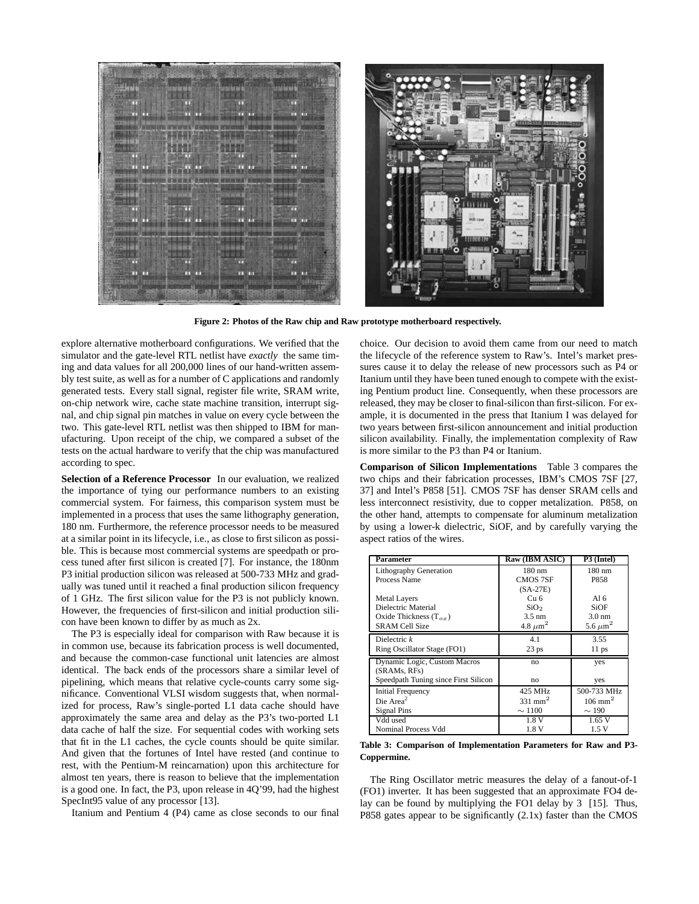

**Figure 2: Photos of the Raw chip and Raw prototype motherboard respectively.**

explore alternative motherboard configurations. We verified that the simulator and the gate-level RTL netlist have *exactly* the same timing and data values for all 200,000 lines of our hand-written assembly test suite, as well as for a number of C applications and randomly generated tests. Every stall signal, register file write, SRAM write, on-chip network wire, cache state machine transition, interrupt signal, and chip signal pin matches in value on every cycle between the two. This gate-level RTL netlist was then shipped to IBM for manufacturing. Upon receipt of the chip, we compared a subset of the tests on the actual hardware to verify that the chip was manufactured according to spec.

**Selection of a Reference Processor** In our evaluation, we realized the importance of tying our performance numbers to an existing commercial system. For fairness, this comparison system must be implemented in a process that uses the same lithography generation, 180 nm. Furthermore, the reference processor needs to be measured at a similar point in its lifecycle, i.e., as close to first silicon as possible. This is because most commercial systems are speedpath or process tuned after first silicon is created [7]. For instance, the 180nm P3 initial production silicon was released at 500-733 MHz and gradually was tuned until it reached a final production silicon frequency of 1 GHz. The first silicon value for the P3 is not publicly known. However, the frequencies of first-silicon and initial production silicon have been known to differ by as much as 2x.

The P3 is especially ideal for comparison with Raw because it is in common use, because its fabrication process is well documented, and because the common-case functional unit latencies are almost identical. The back ends of the processors share a similar level of pipelining, which means that relative cycle-counts carry some significance. Conventional VLSI wisdom suggests that, when normalized for process, Raw's single-ported L1 data cache should have approximately the same area and delay as the P3's two-ported L1 data cache of half the size. For sequential codes with working sets that fit in the L1 caches, the cycle counts should be quite similar. And given that the fortunes of Intel have rested (and continue to rest, with the Pentium-M reincarnation) upon this architecture for almost ten years, there is reason to believe that the implementation is a good one. In fact, the P3, upon release in 4Q'99, had the highest SpecInt95 value of any processor [13].

Itanium and Pentium 4 (P4) came as close seconds to our final

choice. Our decision to avoid them came from our need to match the lifecycle of the reference system to Raw's. Intel's market pressures cause it to delay the release of new processors such as P4 or Itanium until they have been tuned enough to compete with the existing Pentium product line. Consequently, when these processors are released, they may be closer to final-silicon than first-silicon. For example, it is documented in the press that Itanium I was delayed for two years between first-silicon announcement and initial production silicon availability. Finally, the implementation complexity of Raw is more similar to the P3 than P4 or Itanium.

**Comparison of Silicon Implementations** Table 3 compares the two chips and their fabrication processes, IBM's CMOS 7SF [27, 37] and Intel's P858 [51]. CMOS 7SF has denser SRAM cells and less interconnect resistivity, due to copper metalization. P858, on the other hand, attempts to compensate for aluminum metalization by using a lower-k dielectric, SiOF, and by carefully varying the aspect ratios of the wires.

| Parameter                            | Raw (IBM ASIC)           | P3 (Intel)               |
|--------------------------------------|--------------------------|--------------------------|
| <b>Lithography Generation</b>        | $180 \text{ nm}$         | $180 \text{ nm}$         |
| Process Name                         | <b>CMOS 7SF</b>          | P858                     |
|                                      | $(SA-27E)$               |                          |
| Metal Layers                         | Cu 6                     | A $16$                   |
| Dielectric Material                  | SiO <sub>2</sub>         | SiOF                     |
| Oxide Thickness $(T_{ox})$           | $3.5 \text{ nm}$         | $3.0 \text{ nm}$         |
| <b>SRAM Cell Size</b>                | 4.8 $\mu$ m <sup>2</sup> | 5.6 $\mu$ m <sup>2</sup> |
| Dielectric $k$                       | 4.1                      | 3.55                     |
| Ring Oscillator Stage (FO1)          | 23 <sub>ps</sub>         | $11$ ps                  |
| Dynamic Logic, Custom Macros         | no                       | yes                      |
| (SRAMs, RFs)                         |                          |                          |
| Speedpath Tuning since First Silicon | n <sub>0</sub>           | yes                      |
| <b>Initial Frequency</b>             | 425 MHz                  | 500-733 MHz              |
| Die Area <sup>2</sup>                | $331$ mm <sup>2</sup>    | $106 \text{ mm}^2$       |
| Signal Pins                          | $\sim$ 1100              | $\sim$ 190               |
| Vdd used                             | 1.8 V                    | 1.65 V                   |
| Nominal Process Vdd                  | 1.8 V                    | 1.5V                     |

**Table 3: Comparison of Implementation Parameters for Raw and P3- Coppermine.**

The Ring Oscillator metric measures the delay of a fanout-of-1 (FO1) inverter. It has been suggested that an approximate FO4 delay can be found by multiplying the FO1 delay by 3 [15]. Thus, P858 gates appear to be significantly (2.1x) faster than the CMOS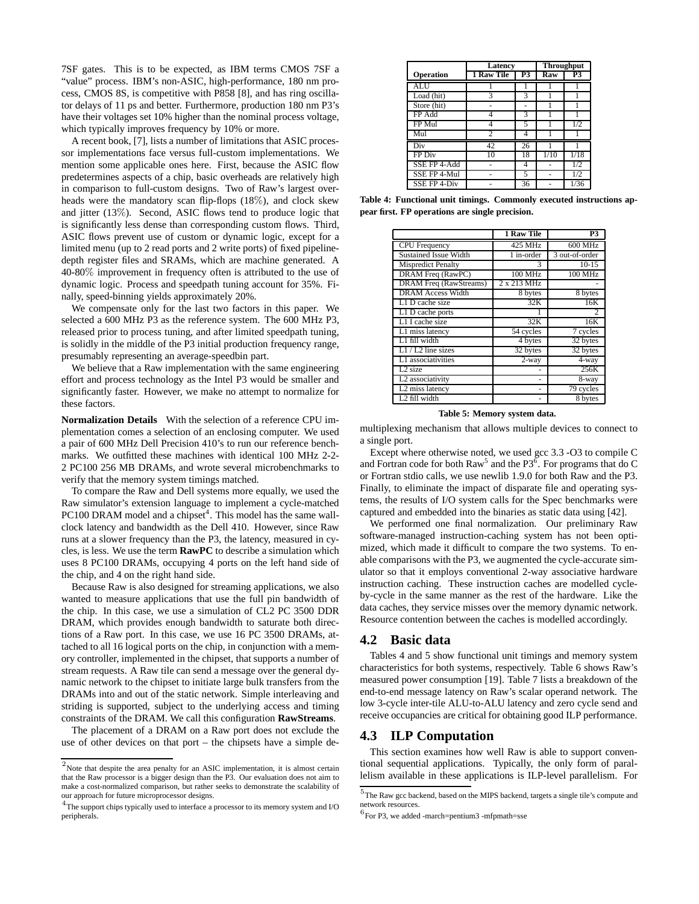7SF gates. This is to be expected, as IBM terms CMOS 7SF a "value" process. IBM's non-ASIC, high-performance, 180 nm process, CMOS 8S, is competitive with P858 [8], and has ring oscillator delays of 11 ps and better. Furthermore, production 180 nm P3's have their voltages set 10% higher than the nominal process voltage, which typically improves frequency by 10% or more.

A recent book, [7], lists a number of limitations that ASIC processor implementations face versus full-custom implementations. We mention some applicable ones here. First, because the ASIC flow predetermines aspects of a chip, basic overheads are relatively high in comparison to full-custom designs. Two of Raw's largest overheads were the mandatory scan flip-flops (18%), and clock skew and jitter (13%). Second, ASIC flows tend to produce logic that is significantly less dense than corresponding custom flows. Third, ASIC flows prevent use of custom or dynamic logic, except for a limited menu (up to 2 read ports and 2 write ports) of fixed pipelinedepth register files and SRAMs, which are machine generated. A 40-80% improvement in frequency often is attributed to the use of dynamic logic. Process and speedpath tuning account for 35%. Finally, speed-binning yields approximately 20%.

We compensate only for the last two factors in this paper. We selected a 600 MHz P3 as the reference system. The 600 MHz P3, released prior to process tuning, and after limited speedpath tuning, is solidly in the middle of the P3 initial production frequency range, presumably representing an average-speedbin part.

We believe that a Raw implementation with the same engineering effort and process technology as the Intel P3 would be smaller and significantly faster. However, we make no attempt to normalize for these factors.

**Normalization Details** With the selection of a reference CPU implementation comes a selection of an enclosing computer. We used a pair of 600 MHz Dell Precision 410's to run our reference benchmarks. We outfitted these machines with identical 100 MHz 2-2- 2 PC100 256 MB DRAMs, and wrote several microbenchmarks to verify that the memory system timings matched.

To compare the Raw and Dell systems more equally, we used the Raw simulator's extension language to implement a cycle-matched PC100 DRAM model and a chipset<sup>4</sup>. This model has the same wallclock latency and bandwidth as the Dell 410. However, since Raw runs at a slower frequency than the P3, the latency, measured in cycles, is less. We use the term **RawPC** to describe a simulation which uses 8 PC100 DRAMs, occupying 4 ports on the left hand side of the chip, and 4 on the right hand side.

Because Raw is also designed for streaming applications, we also wanted to measure applications that use the full pin bandwidth of the chip. In this case, we use a simulation of CL2 PC 3500 DDR DRAM, which provides enough bandwidth to saturate both directions of a Raw port. In this case, we use 16 PC 3500 DRAMs, attached to all 16 logical ports on the chip, in conjunction with a memory controller, implemented in the chipset, that supports a number of stream requests. A Raw tile can send a message over the general dynamic network to the chipset to initiate large bulk transfers from the DRAMs into and out of the static network. Simple interleaving and striding is supported, subject to the underlying access and timing constraints of the DRAM. We call this configuration **RawStreams**.

The placement of a DRAM on a Raw port does not exclude the use of other devices on that port – the chipsets have a simple de-

|                         | Latency           |    | <b>Throughput</b> |                  |
|-------------------------|-------------------|----|-------------------|------------------|
| <b>Operation</b>        | <b>1 Raw Tile</b> | P3 | <b>Raw</b>        | P3               |
| <b>ALU</b>              |                   |    |                   |                  |
| Load (hit)              | 3                 | 3  |                   |                  |
| Store (hit)             |                   |    |                   |                  |
| FP Add                  | 4                 | 3  |                   |                  |
| FP Mul                  | 4                 | 5  |                   | 1/2              |
| $\overline{\text{Mul}}$ | $\overline{c}$    | 4  |                   |                  |
| Div                     | 42                | 26 |                   |                  |
| FP Div                  | 10                | 18 | 1/10              | 1/18             |
| SSE FP 4-Add            |                   | 4  |                   | $\overline{1}/2$ |
| SSE FP 4-Mul            |                   | 5  |                   | 1/2              |
| <b>SSE FP 4-Div</b>     |                   | 36 |                   | 1/36             |

**Table 4: Functional unit timings. Commonly executed instructions appear first. FP operations are single precision.**

|                              | <b>1 Raw Tile</b> | P3             |
|------------------------------|-------------------|----------------|
| <b>CPU</b> Frequency         | 425 MHz           | 600 MHz        |
| <b>Sustained Issue Width</b> | 1 in-order        | 3 out-of-order |
| <b>Mispredict Penalty</b>    | 3                 | $10-15$        |
| DRAM Freq (RawPC)            | <b>100 MHz</b>    | $100$ MHz      |
| DRAM Freq (RawStreams)       | 2 x 213 MHz       |                |
| <b>DRAM Access Width</b>     | 8 bytes           | 8 bytes        |
| L1 D cache size              | 32K               | 16K            |
| L1 D cache ports             |                   | $\overline{c}$ |
| L1 I cache size              | 32K               | 16K            |
| L1 miss latency              | 54 cycles         | 7 cycles       |
| L1 fill width                | 4 bytes           | 32 bytes       |
| $L1 / L2$ line sizes         | 32 bytes          | 32 bytes       |
| L1 associativities           | $2$ -way          | 4-way          |
| L <sub>2</sub> size          |                   | 256K           |
| L2 associativity             |                   | 8-way          |
| L2 miss latency              |                   | 79 cycles      |
| L <sub>2</sub> fill width    |                   | 8 bytes        |

**Table 5: Memory system data.**

multiplexing mechanism that allows multiple devices to connect to a single port.

Except where otherwise noted, we used gcc 3.3 -O3 to compile C and Fortran code for both  $\text{Raw}^5$  and the P3<sup> $\overline{6}$ </sup>. For programs that do C or Fortran stdio calls, we use newlib 1.9.0 for both Raw and the P3. Finally, to eliminate the impact of disparate file and operating systems, the results of I/O system calls for the Spec benchmarks were captured and embedded into the binaries as static data using [42].

We performed one final normalization. Our preliminary Raw software-managed instruction-caching system has not been optimized, which made it difficult to compare the two systems. To enable comparisons with the P3, we augmented the cycle-accurate simulator so that it employs conventional 2-way associative hardware instruction caching. These instruction caches are modelled cycleby-cycle in the same manner as the rest of the hardware. Like the data caches, they service misses over the memory dynamic network. Resource contention between the caches is modelled accordingly.

# **4.2 Basic data**

Tables 4 and 5 show functional unit timings and memory system characteristics for both systems, respectively. Table 6 shows Raw's measured power consumption [19]. Table 7 lists a breakdown of the end-to-end message latency on Raw's scalar operand network. The low 3-cycle inter-tile ALU-to-ALU latency and zero cycle send and receive occupancies are critical for obtaining good ILP performance.

# **4.3 ILP Computation**

This section examines how well Raw is able to support conventional sequential applications. Typically, the only form of parallelism available in these applications is ILP-level parallelism. For

 $2$  Note that despite the area penalty for an ASIC implementation, it is almost certain that the Raw processor is a bigger design than the P3. Our evaluation does not aim to make a cost-normalized comparison, but rather seeks to demonstrate the scalability of our approach for future microprocessor designs.

<sup>&</sup>lt;sup>4</sup>The support chips typically used to interface a processor to its memory system and I/O peripherals.

<sup>5</sup> The Raw gcc backend, based on the MIPS backend, targets a single tile's compute and network resources.

<sup>6</sup> For P3, we added -march=pentium3 -mfpmath=sse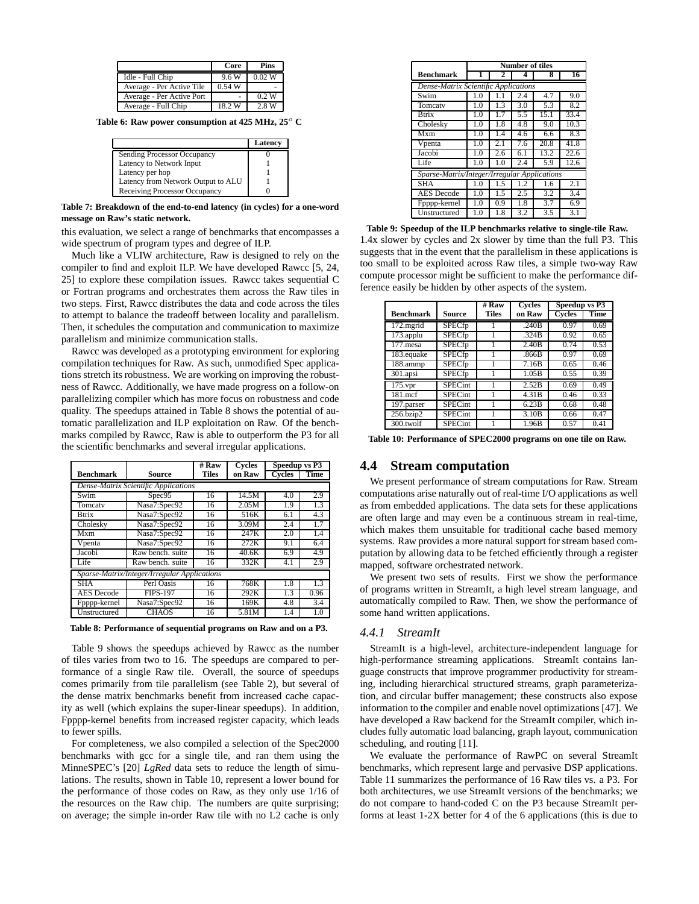|                           | Core   | Pins     |
|---------------------------|--------|----------|
| Idle - Full Chip          | 9.6 W  | $0.02$ W |
| Average - Per Active Tile | 0.54 W |          |
| Average - Per Active Port |        | 0.2 W    |
| Average - Full Chip       | 18.2 W | 2.8W     |

**Table 6: Raw power consumption at 425 MHz, 25**<sup>o</sup> **C**

|                                      | Latencv |
|--------------------------------------|---------|
| Sending Processor Occupancy          |         |
| Latency to Network Input             |         |
| Latency per hop                      |         |
| Latency from Network Output to ALU   |         |
| <b>Receiving Processor Occupancy</b> |         |

**Table 7: Breakdown of the end-to-end latency (in cycles) for a one-word message on Raw's static network.**

this evaluation, we select a range of benchmarks that encompasses a wide spectrum of program types and degree of ILP.

Much like a VLIW architecture, Raw is designed to rely on the compiler to find and exploit ILP. We have developed Rawcc [5, 24, 25] to explore these compilation issues. Rawcc takes sequential C or Fortran programs and orchestrates them across the Raw tiles in two steps. First, Rawcc distributes the data and code across the tiles to attempt to balance the tradeoff between locality and parallelism. Then, it schedules the computation and communication to maximize parallelism and minimize communication stalls.

Rawcc was developed as a prototyping environment for exploring compilation techniques for Raw. As such, unmodified Spec applications stretch its robustness. We are working on improving the robustness of Rawcc. Additionally, we have made progress on a follow-on parallelizing compiler which has more focus on robustness and code quality. The speedups attained in Table 8 shows the potential of automatic parallelization and ILP exploitation on Raw. Of the benchmarks compiled by Rawcc, Raw is able to outperform the P3 for all the scientific benchmarks and several irregular applications.

|                   |                                              | # Raw        | <b>Cycles</b> | Speedup vs P3 |             |
|-------------------|----------------------------------------------|--------------|---------------|---------------|-------------|
| <b>Benchmark</b>  | Source                                       | <b>Tiles</b> | on Raw        | <b>Cycles</b> | <b>Time</b> |
|                   | Dense-Matrix Scientific Applications         |              |               |               |             |
| Swim              | Spec95                                       | 16           | 14.5M         | 4.0           | 2.9         |
| Tomcatv           | Nasa7:Spec92                                 | 16           | 2.05M         | 1.9           | 1.3         |
| <b>Btrix</b>      | Nasa7:Spec92                                 | 16           | 516K          | 6.1           | 4.3         |
| Cholesky          | Nasa7:Spec92                                 | 16           | 3.09M         | 2.4           | 1.7         |
| Mxm               | Nasa7:Spec92                                 | 16           | 247K          | 2.0           | 1.4         |
| Vpenta            | Nasa7:Spec92                                 | 16           | 272K          | 9.1           | 6.4         |
| Jacobi            | Raw bench, suite                             | 16           | 40.6K         | 6.9           | 4.9         |
| Life              | Raw bench, suite                             | 16           | 332K          | 4.1           | 2.9         |
|                   | Sparse-Matrix/Integer/Irregular Applications |              |               |               |             |
| <b>SHA</b>        | Perl Oasis                                   | 16           | 768K          | 1.8           | 1.3         |
| <b>AES</b> Decode | <b>FIPS-197</b>                              | 16           | 292K          | 1.3           | 0.96        |
| Fpppp-kernel      | Nasa7:Spec92                                 | 16           | 169K          | 4.8           | 3.4         |
| Unstructured      | <b>CHAOS</b>                                 | 16           | 5.81M         | 1.4           | 1.0         |

**Table 8: Performance of sequential programs on Raw and on a P3.**

Table 9 shows the speedups achieved by Rawcc as the number of tiles varies from two to 16. The speedups are compared to performance of a single Raw tile. Overall, the source of speedups comes primarily from tile parallelism (see Table 2), but several of the dense matrix benchmarks benefit from increased cache capacity as well (which explains the super-linear speedups). In addition, Fpppp-kernel benefits from increased register capacity, which leads to fewer spills.

For completeness, we also compiled a selection of the Spec2000 benchmarks with gcc for a single tile, and ran them using the MinneSPEC's [20] *LgRed* data sets to reduce the length of simulations. The results, shown in Table 10, represent a lower bound for the performance of those codes on Raw, as they only use 1/16 of the resources on the Raw chip. The numbers are quite surprising; on average; the simple in-order Raw tile with no L2 cache is only

|                                              | <b>Number of tiles</b> |                  |                  |      |      |  |
|----------------------------------------------|------------------------|------------------|------------------|------|------|--|
| <b>Benchmark</b>                             | 1                      | 2                | 4                | 8    | 16   |  |
| Dense-Matrix Scientific Applications         |                        |                  |                  |      |      |  |
| Swim                                         | 1.0                    | 1.1              | 2.4              | 4.7  | 9.0  |  |
| Tomcaty                                      | 1.0                    | 1.3              | 3.0              | 5.3  | 8.2  |  |
| <b>Btrix</b>                                 | 1.0                    | 1.7              | 5.5              | 15.1 | 33.4 |  |
| Cholesky                                     | 1.0                    | 1.8              | $\overline{4.8}$ | 9.0  | 10.3 |  |
| Mxm                                          | 1.0                    | 1.4              | 4.6              | 6.6  | 8.3  |  |
| Vpenta                                       | 1.0                    | $\overline{2.1}$ | 7.6              | 20.8 | 41.8 |  |
| Jacobi                                       | 1.0                    | $\overline{2.6}$ | 6.1              | 13.2 | 22.6 |  |
| Life                                         | 1.0                    | 1.0              | 2.4              | 5.9  | 12.6 |  |
| Sparse-Matrix/Integer/Irregular Applications |                        |                  |                  |      |      |  |
| <b>SHA</b>                                   | 1.0                    | 1.5              | 1.2              | 1.6  | 2.1  |  |
| <b>AES</b> Decode                            | 1.0                    | 1.5              | 2.5              | 3.2  | 3.4  |  |
| Fpppp-kernel                                 | 1.0                    | 0.9              | 1.8              | 3.7  | 6.9  |  |
| Unstructured                                 | 1.0                    | 1.8              | 3.2              | 3.5  | 3.1  |  |

**Table 9: Speedup of the ILP benchmarks relative to single-tile Raw.** 1.4x slower by cycles and 2x slower by time than the full P3. This suggests that in the event that the parallelism in these applications is too small to be exploited across Raw tiles, a simple two-way Raw compute processor might be sufficient to make the performance difference easily be hidden by other aspects of the system.

|                  |                | $#$ Raw      | <b>Cycles</b>       | Speedup vs P3 |      |
|------------------|----------------|--------------|---------------------|---------------|------|
| <b>Benchmark</b> | <b>Source</b>  | <b>Tiles</b> | on Raw              | <b>Cycles</b> | Time |
| $172$ .mgrid     | SPECfp         |              | .240B               | 0.97          | 0.69 |
| 173.applu        | SPECfp         |              | .324B               | 0.92          | 0.65 |
| $177$ . mesa     | <b>SPECfp</b>  |              | 2.40 <sub>B</sub>   | 0.74          | 0.53 |
| 183.equake       | SPECfp         |              | .866B               | 0.97          | 0.69 |
| 188.ammp         | SPECfp         |              | 7.16B               | 0.65          | 0.46 |
| 301.apsi         | SPECfp         |              | 1.05B               | 0.55          | 0.39 |
| $175$ .vpr       | <b>SPECint</b> |              | 2.52B               | 0.69          | 0.49 |
| $181$ .mcf       | <b>SPECint</b> |              | 4.31B               | 0.46          | 0.33 |
| 197.parser       | <b>SPECint</b> |              | $\overline{6.2}$ 3B | 0.68          | 0.48 |
| 256.bzip2        | <b>SPECint</b> |              | 3.10B               | 0.66          | 0.47 |
| 300.twolf        | <b>SPECint</b> |              | 1.96B               | 0.57          | 0.41 |

**Table 10: Performance of SPEC2000 programs on one tile on Raw.**

# **4.4 Stream computation**

We present performance of stream computations for Raw. Stream computations arise naturally out of real-time I/O applications as well as from embedded applications. The data sets for these applications are often large and may even be a continuous stream in real-time, which makes them unsuitable for traditional cache based memory systems. Raw provides a more natural support for stream based computation by allowing data to be fetched efficiently through a register mapped, software orchestrated network.

We present two sets of results. First we show the performance of programs written in StreamIt, a high level stream language, and automatically compiled to Raw. Then, we show the performance of some hand written applications.

#### *4.4.1 StreamIt*

StreamIt is a high-level, architecture-independent language for high-performance streaming applications. StreamIt contains language constructs that improve programmer productivity for streaming, including hierarchical structured streams, graph parameterization, and circular buffer management; these constructs also expose information to the compiler and enable novel optimizations [47]. We have developed a Raw backend for the StreamIt compiler, which includes fully automatic load balancing, graph layout, communication scheduling, and routing [11].

We evaluate the performance of RawPC on several StreamIt benchmarks, which represent large and pervasive DSP applications. Table 11 summarizes the performance of 16 Raw tiles vs. a P3. For both architectures, we use StreamIt versions of the benchmarks; we do not compare to hand-coded C on the P3 because StreamIt performs at least 1-2X better for 4 of the 6 applications (this is due to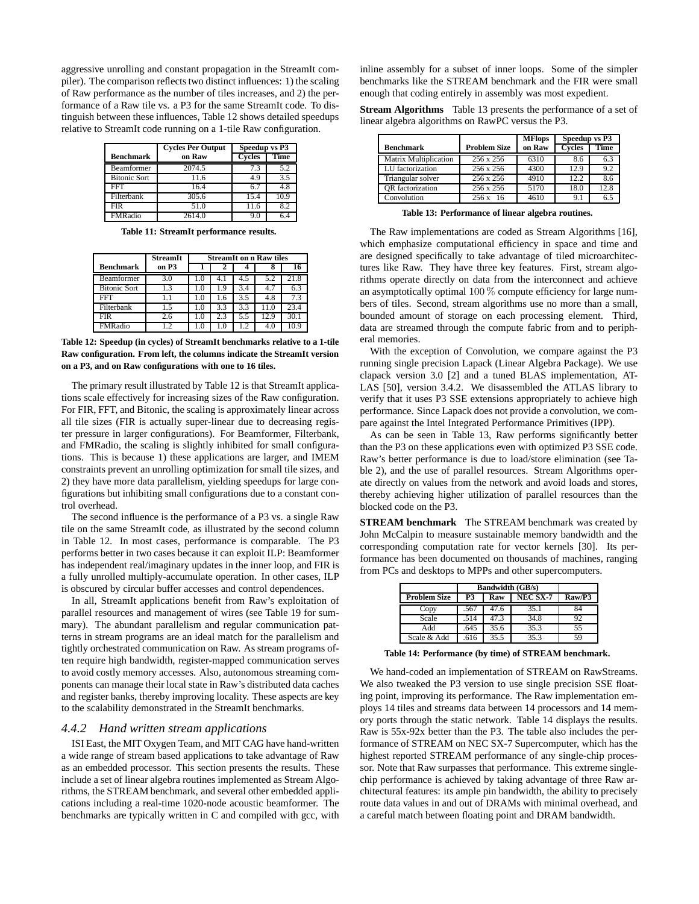aggressive unrolling and constant propagation in the StreamIt compiler). The comparison reflects two distinct influences: 1) the scaling of Raw performance as the number of tiles increases, and 2) the performance of a Raw tile vs. a P3 for the same StreamIt code. To distinguish between these influences, Table 12 shows detailed speedups relative to StreamIt code running on a 1-tile Raw configuration.

|                     | <b>Cycles Per Output</b> | Speedup vs P3 |      |
|---------------------|--------------------------|---------------|------|
| <b>Benchmark</b>    | on Raw                   | <b>Cycles</b> | Time |
| <b>Beamformer</b>   | 2074.5                   | 7.3           | 5.2  |
| <b>Bitonic Sort</b> | 11.6                     | 4.9           | 3.5  |
| <b>FFT</b>          | 16.4                     | 6.7           | 4.8  |
| Filterbank          | 305.6                    | 15.4          | 10.9 |
| <b>FIR</b>          | 51.0                     | 11.6          | 8.2  |
| <b>FMRadio</b>      | 2614.0                   |               | 64   |

**Table 11: StreamIt performance results.**

|                     | <b>StreamIt</b> | <b>StreamIt on n Raw tiles</b> |     |     |      |      |
|---------------------|-----------------|--------------------------------|-----|-----|------|------|
| <b>Benchmark</b>    | on P3           |                                |     |     |      |      |
| Beamformer          | 3.0             |                                | 4.1 | 4.5 | 5.2  | 21.8 |
| <b>Bitonic Sort</b> | 1.3             | 1.0                            | 1.9 | 3.4 | 4.7  | 6.3  |
| <b>FFT</b>          | 1.1             | 1.0                            | 1.6 | 3.5 | 4.8  | 7.3  |
| Filterbank          | 1.5             | 1.0                            | 3.3 | 3.3 | 11.0 | 23.4 |
| <b>FIR</b>          | 2.6             | 1.0                            | 2.3 | 5.5 | 12.9 | 30.1 |
| <b>FMRadio</b>      | $\mathcal{D}$   | 1.0                            | 1.0 | 12  | 4.0  | 10.9 |

**Table 12: Speedup (in cycles) of StreamIt benchmarks relative to a 1-tile Raw configuration. From left, the columns indicate the StreamIt version on a P3, and on Raw configurations with one to 16 tiles.**

The primary result illustrated by Table 12 is that StreamIt applications scale effectively for increasing sizes of the Raw configuration. For FIR, FFT, and Bitonic, the scaling is approximately linear across all tile sizes (FIR is actually super-linear due to decreasing register pressure in larger configurations). For Beamformer, Filterbank, and FMRadio, the scaling is slightly inhibited for small configurations. This is because 1) these applications are larger, and IMEM constraints prevent an unrolling optimization for small tile sizes, and 2) they have more data parallelism, yielding speedups for large configurations but inhibiting small configurations due to a constant control overhead.

The second influence is the performance of a P3 vs. a single Raw tile on the same StreamIt code, as illustrated by the second column in Table 12. In most cases, performance is comparable. The P3 performs better in two cases because it can exploit ILP: Beamformer has independent real/imaginary updates in the inner loop, and FIR is a fully unrolled multiply-accumulate operation. In other cases, ILP is obscured by circular buffer accesses and control dependences.

In all, StreamIt applications benefit from Raw's exploitation of parallel resources and management of wires (see Table 19 for summary). The abundant parallelism and regular communication patterns in stream programs are an ideal match for the parallelism and tightly orchestrated communication on Raw. As stream programs often require high bandwidth, register-mapped communication serves to avoid costly memory accesses. Also, autonomous streaming components can manage their local state in Raw's distributed data caches and register banks, thereby improving locality. These aspects are key to the scalability demonstrated in the StreamIt benchmarks.

#### *4.4.2 Hand written stream applications*

ISI East, the MIT Oxygen Team, and MIT CAG have hand-written a wide range of stream based applications to take advantage of Raw as an embedded processor. This section presents the results. These include a set of linear algebra routines implemented as Stream Algorithms, the STREAM benchmark, and several other embedded applications including a real-time 1020-node acoustic beamformer. The benchmarks are typically written in C and compiled with gcc, with inline assembly for a subset of inner loops. Some of the simpler benchmarks like the STREAM benchmark and the FIR were small enough that coding entirely in assembly was most expedient.

**Stream Algorithms** Table 13 presents the performance of a set of linear algebra algorithms on RawPC versus the P3.

|                       |                     | <b>MFlops</b> | Speedup vs P3 |      |
|-----------------------|---------------------|---------------|---------------|------|
| <b>Benchmark</b>      | <b>Problem Size</b> | on Raw        | <b>Cycles</b> | Time |
| Matrix Multiplication | $256 \times 256$    | 6310          | 8.6           | 6.3  |
| LU factorization      | 256 x 256           | 4300          | 12.9          | 9.2  |
| Triangular solver     | 256 x 256           | 4910          | 12.2          | 8.6  |
| QR factorization      | 256 x 256           | 5170          | 18.0          | 12.8 |
| Convolution           | 256x<br>-16         | 4610          | 9.1           | 6.5  |

**Table 13: Performance of linear algebra routines.**

The Raw implementations are coded as Stream Algorithms [16], which emphasize computational efficiency in space and time and are designed specifically to take advantage of tiled microarchitectures like Raw. They have three key features. First, stream algorithms operate directly on data from the interconnect and achieve an asymptotically optimal 100 % compute efficiency for large numbers of tiles. Second, stream algorithms use no more than a small, bounded amount of storage on each processing element. Third, data are streamed through the compute fabric from and to peripheral memories.

With the exception of Convolution, we compare against the P3 running single precision Lapack (Linear Algebra Package). We use clapack version 3.0 [2] and a tuned BLAS implementation, AT-LAS [50], version 3.4.2. We disassembled the ATLAS library to verify that it uses P3 SSE extensions appropriately to achieve high performance. Since Lapack does not provide a convolution, we compare against the Intel Integrated Performance Primitives (IPP).

As can be seen in Table 13, Raw performs significantly better than the P3 on these applications even with optimized P3 SSE code. Raw's better performance is due to load/store elimination (see Table 2), and the use of parallel resources. Stream Algorithms operate directly on values from the network and avoid loads and stores, thereby achieving higher utilization of parallel resources than the blocked code on the P3.

**STREAM benchmark** The STREAM benchmark was created by John McCalpin to measure sustainable memory bandwidth and the corresponding computation rate for vector kernels [30]. Its performance has been documented on thousands of machines, ranging from PCs and desktops to MPPs and other supercomputers.

|                     | <b>Bandwidth</b> (GB/s) |      |          |        |
|---------------------|-------------------------|------|----------|--------|
| <b>Problem Size</b> | P3                      | Raw  | NEC SX-7 | Raw/P3 |
| Copy                | .567                    | 47.6 | 35.1     | 34     |
| Scale               | .514                    | 473  | 34.8     | 92     |
| Add                 | .645                    | 35.6 | 35.3     | 55     |
| Scale & Add         | .616                    | 35.5 | 35.3     | 59     |

**Table 14: Performance (by time) of STREAM benchmark.**

We hand-coded an implementation of STREAM on RawStreams. We also tweaked the P3 version to use single precision SSE floating point, improving its performance. The Raw implementation employs 14 tiles and streams data between 14 processors and 14 memory ports through the static network. Table 14 displays the results. Raw is 55x-92x better than the P3. The table also includes the performance of STREAM on NEC SX-7 Supercomputer, which has the highest reported STREAM performance of any single-chip processor. Note that Raw surpasses that performance. This extreme singlechip performance is achieved by taking advantage of three Raw architectural features: its ample pin bandwidth, the ability to precisely route data values in and out of DRAMs with minimal overhead, and a careful match between floating point and DRAM bandwidth.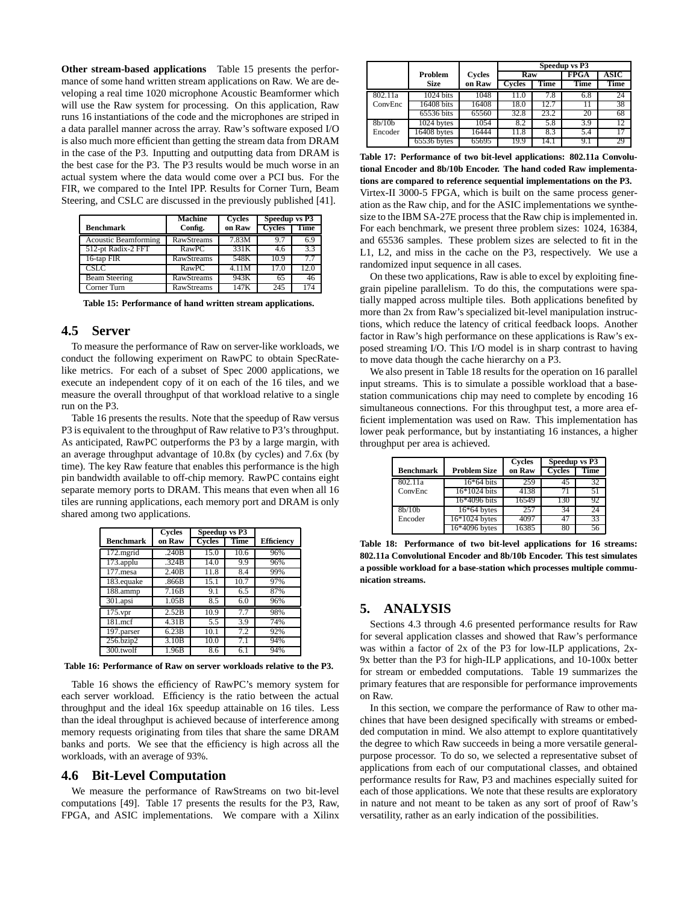**Other stream-based applications** Table 15 presents the performance of some hand written stream applications on Raw. We are developing a real time 1020 microphone Acoustic Beamformer which will use the Raw system for processing. On this application, Raw runs 16 instantiations of the code and the microphones are striped in a data parallel manner across the array. Raw's software exposed I/O is also much more efficient than getting the stream data from DRAM in the case of the P3. Inputting and outputting data from DRAM is the best case for the P3. The P3 results would be much worse in an actual system where the data would come over a PCI bus. For the FIR, we compared to the Intel IPP. Results for Corner Turn, Beam Steering, and CSLC are discussed in the previously published [41].

|                             | Machine           | <b>Cycles</b> | Speedup vs P3 |      |
|-----------------------------|-------------------|---------------|---------------|------|
| <b>Benchmark</b>            | Config.           | on Raw        | Cycles        | Time |
| <b>Acoustic Beamforming</b> | <b>RawStreams</b> | 7.83M         | 9.7           | 6.9  |
| 512-pt Radix-2 FFT          | RawPC             | 331K          | 4.6           | 3.3  |
| 16-tap FIR                  | <b>RawStreams</b> | 548K          | 10.9          | 7.7  |
| <b>CSLC</b>                 | RawPC             | 4.11M         | 17.0          | 12.0 |
| <b>Beam Steering</b>        | <b>RawStreams</b> | 943K          | 65            | 46   |
| Corner Turn                 | <b>RawStreams</b> | 147K          | 245           | 174  |

**Table 15: Performance of hand written stream applications.**

#### **4.5 Server**

To measure the performance of Raw on server-like workloads, we conduct the following experiment on RawPC to obtain SpecRatelike metrics. For each of a subset of Spec 2000 applications, we execute an independent copy of it on each of the 16 tiles, and we measure the overall throughput of that workload relative to a single run on the P3.

Table 16 presents the results. Note that the speedup of Raw versus P3 is equivalent to the throughput of Raw relative to P3's throughput. As anticipated, RawPC outperforms the P3 by a large margin, with an average throughput advantage of 10.8x (by cycles) and 7.6x (by time). The key Raw feature that enables this performance is the high pin bandwidth available to off-chip memory. RawPC contains eight separate memory ports to DRAM. This means that even when all 16 tiles are running applications, each memory port and DRAM is only shared among two applications.

|                         | <b>Cycles</b>      | Speedup vs P3      |                  |                   |
|-------------------------|--------------------|--------------------|------------------|-------------------|
| <b>Benchmark</b>        | on Raw             | <b>Cycles</b>      | Time             | <b>Efficiency</b> |
| $\overline{172}$ .mgrid | .240B              | 15.0               | 10.6             | 96%               |
| 173.applu               | .324B              | 14.0               | 9.9              | 96%               |
| $177$ .mesa             | 2.40B              | $\overline{11.8}$  | 8.4              | 99%               |
| 183.equake              | .866B              | 15.1               | 10.7             | 97%               |
| $188$ .ammp             | $\overline{7.16B}$ | 9.1                | $\overline{6.5}$ | 87%               |
| 301.apsi                | 1.05B              | 8.5                | 6.0              | 96%               |
| $175$ . vpr             | 2.52B              | $\overline{10}$ .9 | 7.7              | 98%               |
| $181$ .mcf              | 4.31B              | 5.5                | 3.9              | 74%               |
| 197.parser              | 6.23B              | 10.1               | $\overline{7.2}$ | 92%               |
| 256.bzip2               | 3.10B              | 10.0               | 7.1              | 94%               |
| 300.twolf               | 1.96B              | 8.6                | 6.1              | 94%               |

**Table 16: Performance of Raw on server workloads relative to the P3.**

Table 16 shows the efficiency of RawPC's memory system for each server workload. Efficiency is the ratio between the actual throughput and the ideal 16x speedup attainable on 16 tiles. Less than the ideal throughput is achieved because of interference among memory requests originating from tiles that share the same DRAM banks and ports. We see that the efficiency is high across all the workloads, with an average of 93%.

#### **4.6 Bit-Level Computation**

We measure the performance of RawStreams on two bit-level computations [49]. Table 17 presents the results for the P3, Raw, FPGA, and ASIC implementations. We compare with a Xilinx

|         |                        |               | Speedup vs P3 |      |      |             |
|---------|------------------------|---------------|---------------|------|------|-------------|
|         | Problem                | <b>Cycles</b> |               | Raw  |      | <b>ASIC</b> |
|         | <b>Size</b>            | on Raw        | <b>Cycles</b> | Time | Time | Time        |
| 802.11a | $\overline{1024}$ bits | 1048          | 11.0          | 7.8  | 6.8  | 24          |
| ConvEnc | 16408 bits             | 16408         | 18.0          | 12.7 |      | 38          |
|         | 65536 bits             | 65560         | 32.8          | 23.2 | 20   | 68          |
| 8b/10b  | 1024 bytes             | 1054          | 8.2           | 5.8  | 3.9  | 12          |
| Encoder | 16408 bytes            | 16444         | 11.8          | 8.3  | 5.4  |             |
|         | 65536 bytes            | 65695         | 19.9          | 14.1 | 9.1  | 29          |

**Table 17: Performance of two bit-level applications: 802.11a Convolutional Encoder and 8b/10b Encoder. The hand coded Raw implementations are compared to reference sequential implementations on the P3.** Virtex-II 3000-5 FPGA, which is built on the same process generation as the Raw chip, and for the ASIC implementations we synthesize to the IBM SA-27E process that the Raw chip is implemented in. For each benchmark, we present three problem sizes: 1024, 16384, and 65536 samples. These problem sizes are selected to fit in the L1, L2, and miss in the cache on the P3, respectively. We use a randomized input sequence in all cases.

On these two applications, Raw is able to excel by exploiting finegrain pipeline parallelism. To do this, the computations were spatially mapped across multiple tiles. Both applications benefited by more than 2x from Raw's specialized bit-level manipulation instructions, which reduce the latency of critical feedback loops. Another factor in Raw's high performance on these applications is Raw's exposed streaming I/O. This I/O model is in sharp contrast to having to move data though the cache hierarchy on a P3.

We also present in Table 18 results for the operation on 16 parallel input streams. This is to simulate a possible workload that a basestation communications chip may need to complete by encoding 16 simultaneous connections. For this throughput test, a more area efficient implementation was used on Raw. This implementation has lower peak performance, but by instantiating 16 instances, a higher throughput per area is achieved.

|                  |                     | <b>Cycles</b> | Speedup vs P3 |      |
|------------------|---------------------|---------------|---------------|------|
| <b>Benchmark</b> | <b>Problem Size</b> | on Raw        | <b>Cycles</b> | Time |
| 802.11a          | $16*64$ bits        | 259           | 45            | 32   |
| ConvEnc          | 16*1024 bits        | 4138          |               |      |
|                  | 16*4096 bits        | 16549         | 130           | 92   |
| 8b/10b           | $16*64$ bytes       | 257           | 34            | 24   |
| Encoder          | 16*1024 bytes       | 4097          | 47            | 33   |
|                  | 16*4096 bytes       | 16385         | 80            |      |

**Table 18: Performance of two bit-level applications for 16 streams: 802.11a Convolutional Encoder and 8b/10b Encoder. This test simulates a possible workload for a base-station which processes multiple communication streams.**

#### **5. ANALYSIS**

Sections 4.3 through 4.6 presented performance results for Raw for several application classes and showed that Raw's performance was within a factor of 2x of the P3 for low-ILP applications, 2x-9x better than the P3 for high-ILP applications, and 10-100x better for stream or embedded computations. Table 19 summarizes the primary features that are responsible for performance improvements on Raw.

In this section, we compare the performance of Raw to other machines that have been designed specifically with streams or embedded computation in mind. We also attempt to explore quantitatively the degree to which Raw succeeds in being a more versatile generalpurpose processor. To do so, we selected a representative subset of applications from each of our computational classes, and obtained performance results for Raw, P3 and machines especially suited for each of those applications. We note that these results are exploratory in nature and not meant to be taken as any sort of proof of Raw's versatility, rather as an early indication of the possibilities.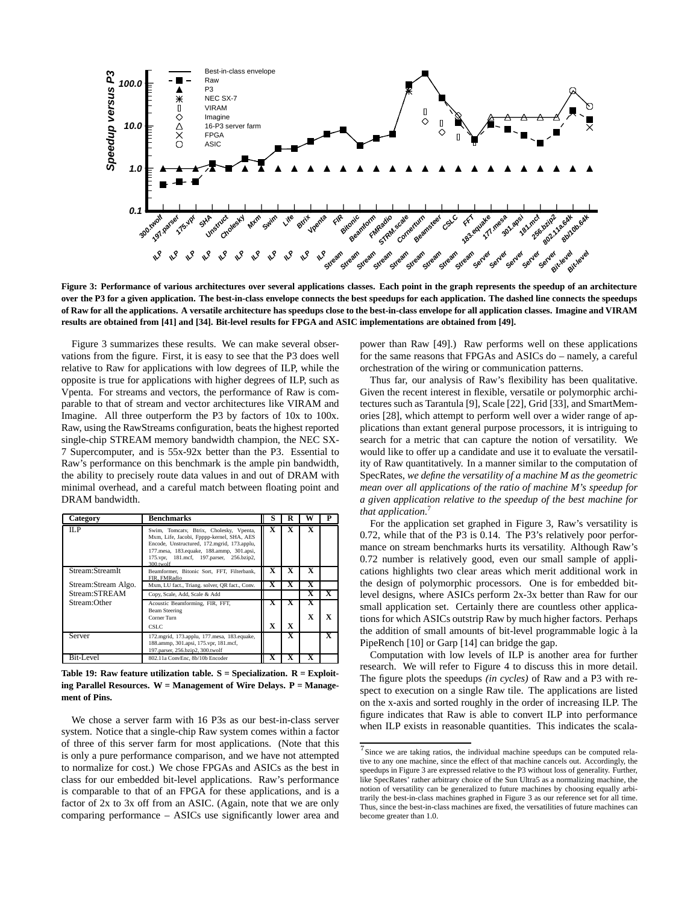

Figure 3: Performance of various architectures over several applications classes. Each point in the graph represents the speedup of an architecture over the P3 for a given application. The best-in-class envelope connects the best speedups for each application. The dashed line connects the speedups of Raw for all the applications. A versatile architecture has speedups close to the best-in-class envelope for all application classes. Imagine and VIRAM results are obtained from [41] and [34]. Bit-level results for FPGA and ASIC implementations are obtained from [49].

Figure 3 summarizes these results. We can make several observations from the figure. First, it is easy to see that the P3 does well relative to Raw for applications with low degrees of ILP, while the opposite is true for applications with higher degrees of ILP, such as Vpenta. For streams and vectors, the performance of Raw is comparable to that of stream and vector architectures like VIRAM and Imagine. All three outperform the P3 by factors of 10x to 100x. Raw, using the RawStreams configuration, beats the highest reported single-chip STREAM memory bandwidth champion, the NEC SX-7 Supercomputer, and is 55x-92x better than the P3. Essential to Raw's performance on this benchmark is the ample pin bandwidth, the ability to precisely route data values in and out of DRAM with minimal overhead, and a careful match between floating point and DRAM bandwidth.

| Category             | <b>Benchmarks</b>                                                                                                                                     | S | R | w |   |
|----------------------|-------------------------------------------------------------------------------------------------------------------------------------------------------|---|---|---|---|
| ILP                  | Swim, Tomcatv, Btrix, Cholesky, Vpenta,<br>Mxm, Life, Jacobi, Fpppp-kernel, SHA, AES                                                                  | X | X | X |   |
|                      | Encode, Unstructured, 172.mgrid, 173.applu,<br>177.mesa, 183.equake, 188.ammp, 301.apsi,<br>175. vpr, 181. mcf, 197. parser, 256. bzip2,<br>300.twolf |   |   |   |   |
| Stream:StreamIt      | Beamformer, Bitonic Sort, FFT, Filterbank,<br>FIR. FMRadio                                                                                            | X | x | X |   |
| Stream: Stream Algo. | Mxm, LU fact., Triang. solver, QR fact., Conv.                                                                                                        | x |   | x |   |
| Stream:STREAM        | Copy, Scale, Add, Scale & Add                                                                                                                         |   |   | х |   |
| Stream:Other         | Acoustic Beamforming, FIR, FFT,                                                                                                                       | X | X | X |   |
|                      | <b>Beam Steering</b><br>Corner Turn                                                                                                                   |   |   | X | X |
|                      | <b>CSLC</b>                                                                                                                                           | X | X |   |   |
| Server               | 172. mgrid, 173. applu, 177. mesa, 183. equake,<br>188.ammp, 301.apsi, 175.vpr, 181.mcf,<br>197.parser, 256.bzip2, 300.twolf                          |   | X |   |   |
| Bit-Level            | 802.11a ConvEnc, 8b/10b Encoder                                                                                                                       | x | X | X |   |

**Table 19: Raw feature utilization table. S = Specialization. R = Exploiting Parallel Resources. W = Management of Wire Delays. P = Management of Pins.**

We chose a server farm with 16 P3s as our best-in-class server system. Notice that a single-chip Raw system comes within a factor of three of this server farm for most applications. (Note that this is only a pure performance comparison, and we have not attempted to normalize for cost.) We chose FPGAs and ASICs as the best in class for our embedded bit-level applications. Raw's performance is comparable to that of an FPGA for these applications, and is a factor of 2x to 3x off from an ASIC. (Again, note that we are only comparing performance – ASICs use significantly lower area and power than Raw [49].) Raw performs well on these applications for the same reasons that FPGAs and ASICs do – namely, a careful orchestration of the wiring or communication patterns.

Thus far, our analysis of Raw's flexibility has been qualitative. Given the recent interest in flexible, versatile or polymorphic architectures such as Tarantula [9], Scale [22], Grid [33], and SmartMemories [28], which attempt to perform well over a wider range of applications than extant general purpose processors, it is intriguing to search for a metric that can capture the notion of versatility. We would like to offer up a candidate and use it to evaluate the versatility of Raw quantitatively. In a manner similar to the computation of SpecRates, *we define the versatility of a machine M as the geometric mean over all applications of the ratio of machine M's speedup for a given application relative to the speedup of the best machine for that application*. 7

For the application set graphed in Figure 3, Raw's versatility is 0.72, while that of the P3 is 0.14. The P3's relatively poor performance on stream benchmarks hurts its versatility. Although Raw's 0.72 number is relatively good, even our small sample of applications highlights two clear areas which merit additional work in the design of polymorphic processors. One is for embedded bitlevel designs, where ASICs perform 2x-3x better than Raw for our small application set. Certainly there are countless other applications for which ASICs outstrip Raw by much higher factors. Perhaps the addition of small amounts of bit-level programmable logic à la PipeRench [10] or Garp [14] can bridge the gap.

Computation with low levels of ILP is another area for further research. We will refer to Figure 4 to discuss this in more detail. The figure plots the speedups *(in cycles)* of Raw and a P3 with respect to execution on a single Raw tile. The applications are listed on the x-axis and sorted roughly in the order of increasing ILP. The figure indicates that Raw is able to convert ILP into performance when ILP exists in reasonable quantities. This indicates the scala-

<sup>&</sup>lt;sup>7</sup> Since we are taking ratios, the individual machine speedups can be computed relative to any one machine, since the effect of that machine cancels out. Accordingly, the speedups in Figure 3 are expressed relative to the P3 without loss of generality. Further, like SpecRates' rather arbitrary choice of the Sun Ultra5 as a normalizing machine, the notion of versatility can be generalized to future machines by choosing equally arbitrarily the best-in-class machines graphed in Figure 3 as our reference set for all time. Thus, since the best-in-class machines are fixed, the versatilities of future machines can become greater than 1.0.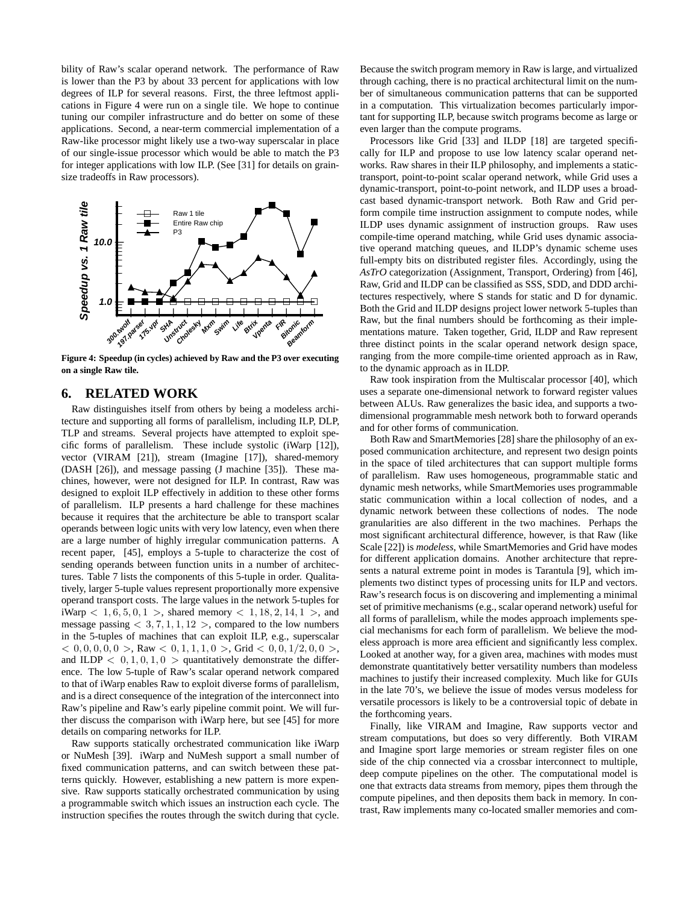bility of Raw's scalar operand network. The performance of Raw is lower than the P3 by about 33 percent for applications with low degrees of ILP for several reasons. First, the three leftmost applications in Figure 4 were run on a single tile. We hope to continue tuning our compiler infrastructure and do better on some of these applications. Second, a near-term commercial implementation of a Raw-like processor might likely use a two-way superscalar in place of our single-issue processor which would be able to match the P3 for integer applications with low ILP. (See [31] for details on grainsize tradeoffs in Raw processors).



**Figure 4: Speedup (in cycles) achieved by Raw and the P3 over executing on a single Raw tile.**

#### **6. RELATED WORK**

Raw distinguishes itself from others by being a modeless architecture and supporting all forms of parallelism, including ILP, DLP, TLP and streams. Several projects have attempted to exploit specific forms of parallelism. These include systolic (iWarp [12]), vector (VIRAM [21]), stream (Imagine [17]), shared-memory (DASH [26]), and message passing (J machine [35]). These machines, however, were not designed for ILP. In contrast, Raw was designed to exploit ILP effectively in addition to these other forms of parallelism. ILP presents a hard challenge for these machines because it requires that the architecture be able to transport scalar operands between logic units with very low latency, even when there are a large number of highly irregular communication patterns. A recent paper, [45], employs a 5-tuple to characterize the cost of sending operands between function units in a number of architectures. Table 7 lists the components of this 5-tuple in order. Qualitatively, larger 5-tuple values represent proportionally more expensive operand transport costs. The large values in the network 5-tuples for iWarp  $\langle 1, 6, 5, 0, 1 \rangle$ , shared memory  $\langle 1, 18, 2, 14, 1 \rangle$ , and message passing  $\langle 3, 7, 1, 1, 12 \rangle$ , compared to the low numbers in the 5-tuples of machines that can exploit ILP, e.g., superscalar  $< 0, 0, 0, 0, 0 >$ , Raw  $< 0, 1, 1, 1, 0 >$ , Grid  $< 0, 0, 1/2, 0, 0 >$ , and ILDP  $\langle 0, 1, 0, 1, 0 \rangle$  quantitatively demonstrate the difference. The low 5-tuple of Raw's scalar operand network compared to that of iWarp enables Raw to exploit diverse forms of parallelism, and is a direct consequence of the integration of the interconnect into Raw's pipeline and Raw's early pipeline commit point. We will further discuss the comparison with iWarp here, but see [45] for more details on comparing networks for ILP.

Raw supports statically orchestrated communication like iWarp or NuMesh [39]. iWarp and NuMesh support a small number of fixed communication patterns, and can switch between these patterns quickly. However, establishing a new pattern is more expensive. Raw supports statically orchestrated communication by using a programmable switch which issues an instruction each cycle. The instruction specifies the routes through the switch during that cycle. Because the switch program memory in Raw is large, and virtualized through caching, there is no practical architectural limit on the number of simultaneous communication patterns that can be supported in a computation. This virtualization becomes particularly important for supporting ILP, because switch programs become as large or even larger than the compute programs.

**ILDP** uses dynamic assignment of instruction groups. Raw uses tectures respectively, where S stands for static and D for dynamic. *AsTrO* categorization (Assignment, Transport, Ordering) from [46], Processors like Grid [33] and ILDP [18] are targeted specifically for ILP and propose to use low latency scalar operand networks. Raw shares in their ILP philosophy, and implements a statictransport, point-to-point scalar operand network, while Grid uses a dynamic-transport, point-to-point network, and ILDP uses a broadcast based dynamic-transport network. Both Raw and Grid perform compile time instruction assignment to compute nodes, while compile-time operand matching, while Grid uses dynamic associative operand matching queues, and ILDP's dynamic scheme uses full-empty bits on distributed register files. Accordingly, using the Raw, Grid and ILDP can be classified as SSS, SDD, and DDD archi-Both the Grid and ILDP designs project lower network 5-tuples than Raw, but the final numbers should be forthcoming as their implementations mature. Taken together, Grid, ILDP and Raw represent three distinct points in the scalar operand network design space, ranging from the more compile-time oriented approach as in Raw, to the dynamic approach as in ILDP.

> Raw took inspiration from the Multiscalar processor [40], which uses a separate one-dimensional network to forward register values between ALUs. Raw generalizes the basic idea, and supports a twodimensional programmable mesh network both to forward operands and for other forms of communication.

> Both Raw and SmartMemories [28] share the philosophy of an exposed communication architecture, and represent two design points in the space of tiled architectures that can support multiple forms of parallelism. Raw uses homogeneous, programmable static and dynamic mesh networks, while SmartMemories uses programmable static communication within a local collection of nodes, and a dynamic network between these collections of nodes. The node granularities are also different in the two machines. Perhaps the most significant architectural difference, however, is that Raw (like Scale [22]) is *modeless*, while SmartMemories and Grid have modes for different application domains. Another architecture that represents a natural extreme point in modes is Tarantula [9], which implements two distinct types of processing units for ILP and vectors. Raw's research focus is on discovering and implementing a minimal set of primitive mechanisms (e.g., scalar operand network) useful for all forms of parallelism, while the modes approach implements special mechanisms for each form of parallelism. We believe the modeless approach is more area efficient and significantly less complex. Looked at another way, for a given area, machines with modes must demonstrate quantitatively better versatility numbers than modeless machines to justify their increased complexity. Much like for GUIs in the late 70's, we believe the issue of modes versus modeless for versatile processors is likely to be a controversial topic of debate in the forthcoming years.

> Finally, like VIRAM and Imagine, Raw supports vector and stream computations, but does so very differently. Both VIRAM and Imagine sport large memories or stream register files on one side of the chip connected via a crossbar interconnect to multiple, deep compute pipelines on the other. The computational model is one that extracts data streams from memory, pipes them through the compute pipelines, and then deposits them back in memory. In contrast, Raw implements many co-located smaller memories and com